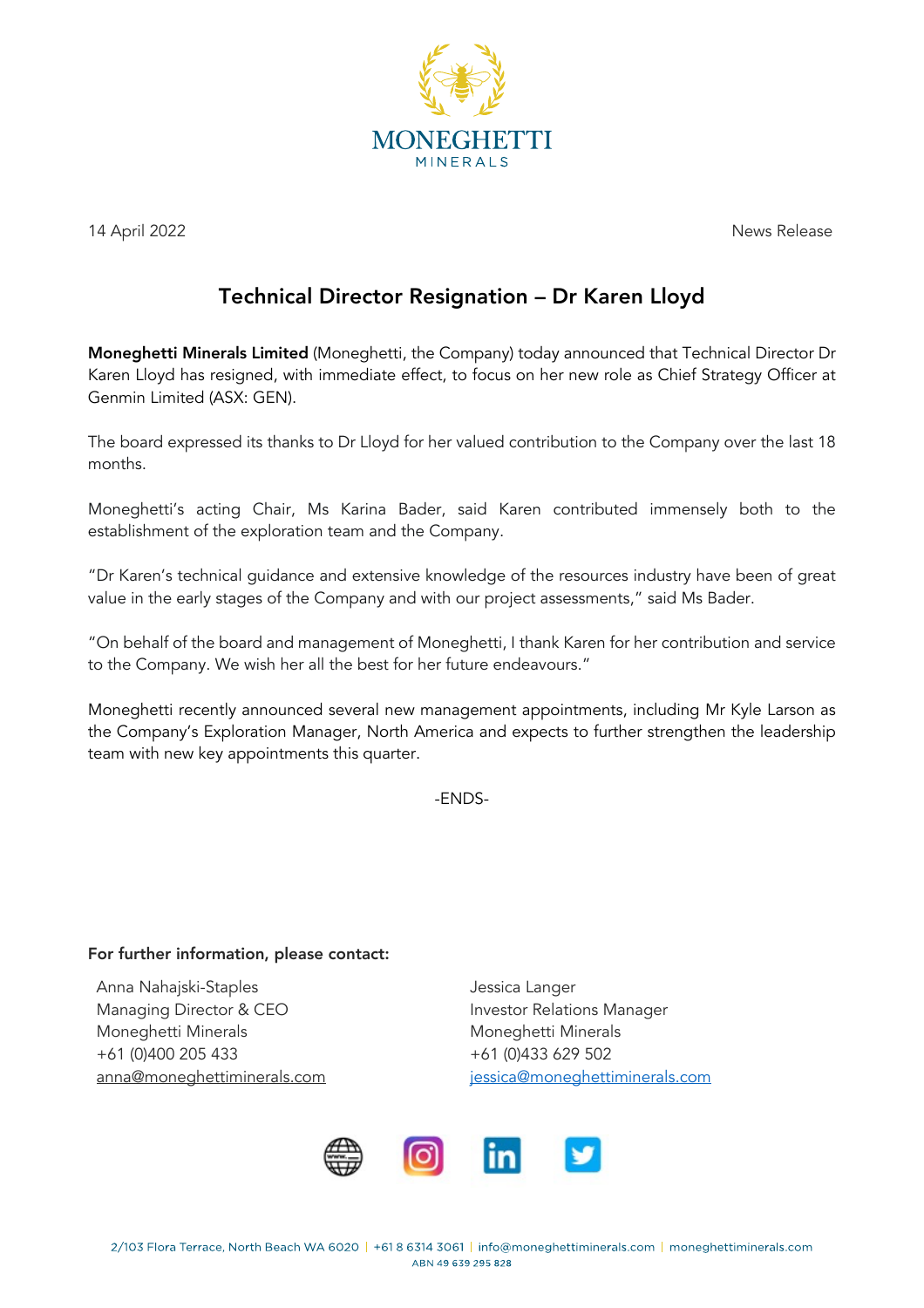

14 April 2022 News Release

## Technical Director Resignation – Dr Karen Lloyd

Moneghetti Minerals Limited (Moneghetti, the Company) today announced that Technical Director Dr Karen Lloyd has resigned, with immediate effect, to focus on her new role as Chief Strategy Officer at Genmin Limited (ASX: GEN).

The board expressed its thanks to Dr Lloyd for her valued contribution to the Company over the last 18 months.

Moneghetti's acting Chair, Ms Karina Bader, said Karen contributed immensely both to the establishment of the exploration team and the Company.

"Dr Karen's technical guidance and extensive knowledge of the resources industry have been of great value in the early stages of the Company and with our project assessments," said Ms Bader.

"On behalf of the board and management of Moneghetti, I thank Karen for her contribution and service to the Company. We wish her all the best for her future endeavours."

Moneghetti recently announced several new management appointments, including Mr Kyle Larson as the Company's Exploration Manager, North America and expects to further strengthen the leadership team with new key appointments this quarter.

-ENDS-

## For further information, please contact:

Anna Nahajski-Staples and announced by a series of the Jessica Langer Managing Director & CEO **Investor Relations Manager** Moneghetti Minerals **Moneghetti Minerals** Moneghetti Minerals +61 (0)400 205 433 +61 (0)433 629 502

anna@moneghettiminerals.com jessica@moneghettiminerals.com